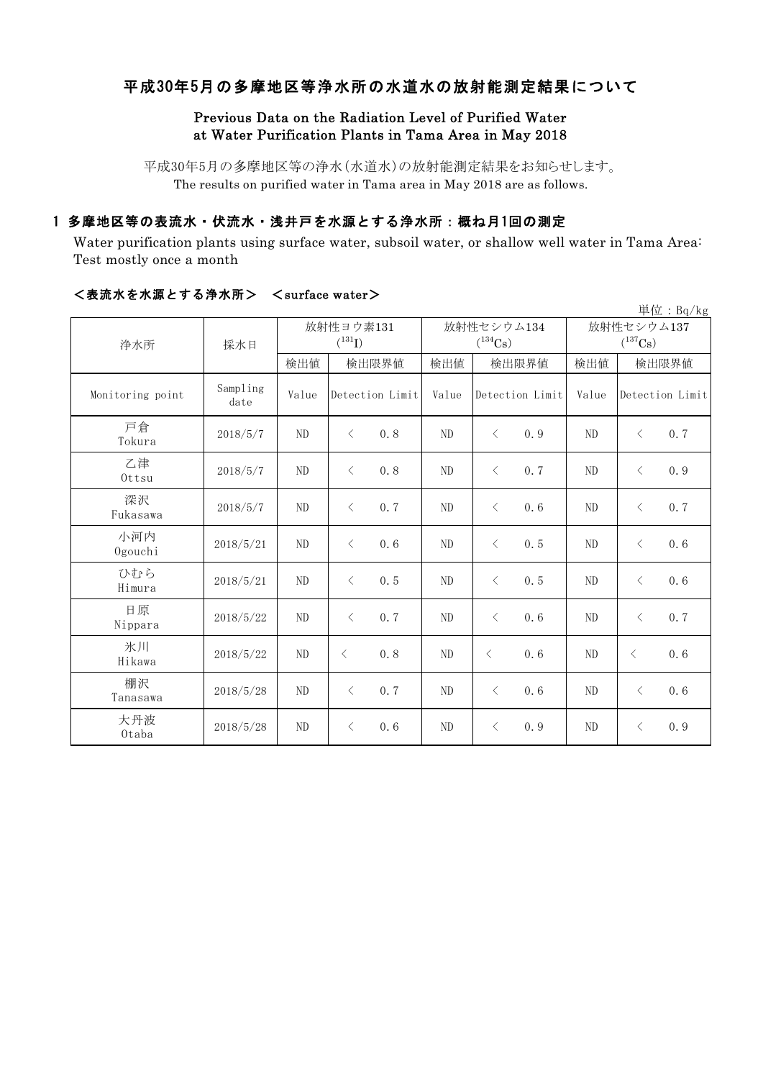# 平成30年5月の多摩地区等浄水所の水道水の放射能測定結果について

# Previous Data on the Radiation Level of Purified Water at Water Purification Plants in Tama Area in May 2018

平成30年5月の多摩地区等の浄水(水道水)の放射能測定結果をお知らせします。 The results on purified water in Tama area in May 2018 are as follows.

# 1 多摩地区等の表流水・伏流水・浅井戸を水源とする浄水所:概ね月1回の測定

Water purification plants using surface water, subsoil water, or shallow well water in Tama Area: Test mostly once a month

|                  |                  |                |                          |                |                                     |                                     | 単位: Bq/kg        |  |
|------------------|------------------|----------------|--------------------------|----------------|-------------------------------------|-------------------------------------|------------------|--|
| 浄水所              | 採水日              |                | 放射性ヨウ素131<br>$(^{131}I)$ |                | 放射性セシウム134<br>$(^{134}\mathrm{Cs})$ | 放射性セシウム137<br>$(^{137}\mathrm{Cs})$ |                  |  |
|                  |                  | 検出値            | 検出限界値                    | 検出値            | 検出限界値                               | 検出値                                 | 検出限界値            |  |
| Monitoring point | Sampling<br>date | Value          | Detection Limit          | Value          | Detection Limit                     | Value                               | Detection Limit  |  |
| 戸倉<br>Tokura     | 2018/5/7         | N <sub>D</sub> | 0.8<br>$\lt$             | N <sub>D</sub> | $\langle$<br>0.9                    | ND                                  | 0.7<br>$\lt$     |  |
| 乙津<br>Ottsu      | 2018/5/7         | ND             | 0.8<br>$\lt$             | ND             | $\langle$<br>0.7                    | N <sub>D</sub>                      | 0.9<br>$\lt$     |  |
| 深沢<br>Fukasawa   | 2018/5/7         | ND             | 0.7<br>$\langle$         | ND             | $\langle$<br>0.6                    | ND                                  | 0.7<br>$\langle$ |  |
| 小河内<br>Ogouchi   | 2018/5/21        | ND             | $\lt$<br>0.6             | ND             | 0.5<br>$\langle$                    | N <sub>D</sub>                      | 0.6<br>$\lt$     |  |
| ひむら<br>Himura    | 2018/5/21        | ND             | 0.5<br>$\langle$         | ND             | $\langle$<br>0.5                    | N <sub>D</sub>                      | 0.6<br>$\lt$     |  |
| 日原<br>Nippara    | 2018/5/22        | N <sub>D</sub> | 0.7<br>$\langle$         | N <sub>D</sub> | $\langle$<br>0.6                    | N <sub>D</sub>                      | 0.7<br>$\langle$ |  |
| 氷川<br>Hikawa     | 2018/5/22        | ND             | 0.8<br>$\langle$         | ND             | 0.6<br>$\lt$                        | N <sub>D</sub>                      | 0.6<br>$\langle$ |  |
| 棚沢<br>Tanasawa   | 2018/5/28        | ND.            | 0.7<br>$\lt$             | ND             | $\langle$<br>0.6                    | ND                                  | 0.6<br>$\lt$     |  |
| 大丹波<br>Otaba     | 2018/5/28        | ND             | 0.6<br>$\lt$             | ND             | $\langle$<br>0.9                    | ND                                  | 0.9<br>$\langle$ |  |

# <表流水を水源とする浄水所> <surface water>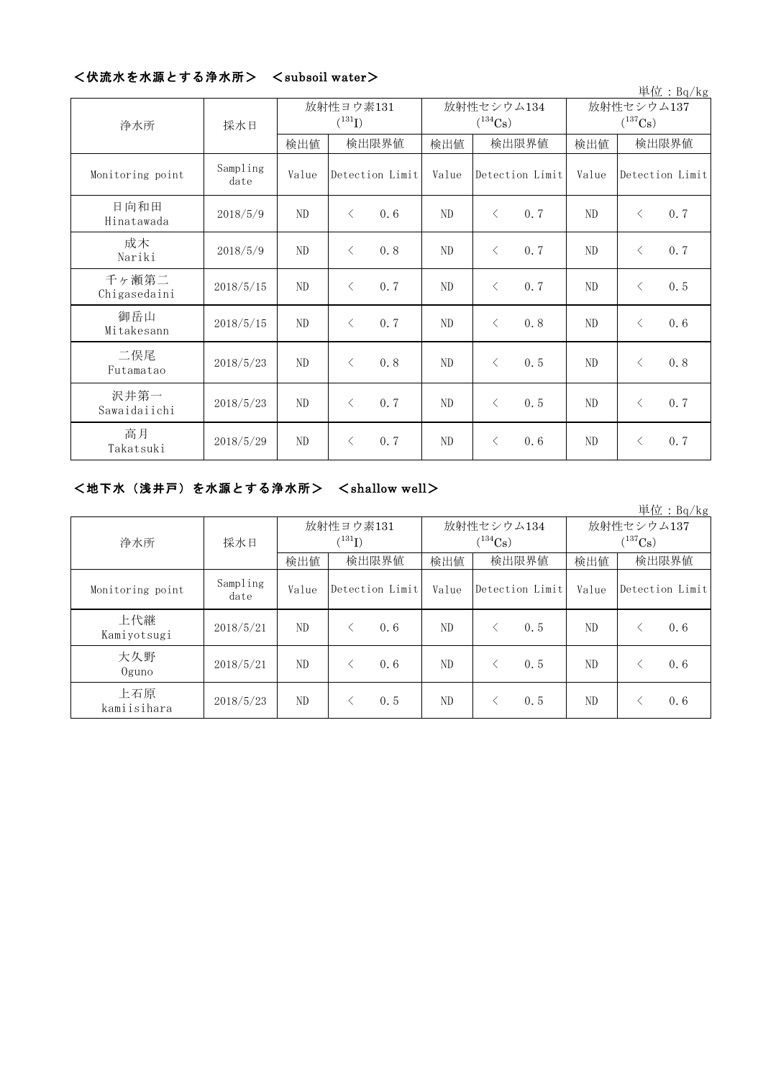|                       |                  |                          |                 |     |       |                            |     |                            |                 | 単位: $Bq/kg$ |
|-----------------------|------------------|--------------------------|-----------------|-----|-------|----------------------------|-----|----------------------------|-----------------|-------------|
| 浄水所                   | 採水日              | 放射性ヨウ素131<br>$(^{131}I)$ |                 |     |       | 放射性セシウム134<br>$(^{134}Cs)$ |     | 放射性セシウム137<br>$(^{137}Cs)$ |                 |             |
|                       |                  | 検出値                      | 検出限界値           |     | 検出値   | 検出限界値                      |     | 検出値                        | 検出限界値           |             |
| Monitoring point      | Sampling<br>date | Value                    | Detection Limit |     | Value | Detection Limit            |     | Value                      | Detection Limit |             |
| 日向和田<br>Hinatawada    | 2018/5/9         | ND                       | $\lt$           | 0.6 | ND    | $\langle$                  | 0.7 | ND                         | $\langle$       | 0.7         |
| 成木<br>Nariki          | 2018/5/9         | ND                       | $\lt$           | 0.8 | ND    | $\lt$                      | 0.7 | ND                         | $\langle$       | 0.7         |
| 千ヶ瀬第二<br>Chigasedaini | 2018/5/15        | ND                       | $\lt$           | 0.7 | ND    | $\langle$                  | 0.7 | ND                         | $\langle$       | 0.5         |
| 御岳山<br>Mitakesann     | 2018/5/15        | ND                       | $\lt$           | 0.7 | ND    | $\lt$                      | 0.8 | ND                         | $\langle$       | 0.6         |
| 二俣尾<br>Futamatao      | 2018/5/23        | ND                       | $\langle$       | 0.8 | ND    | $\langle$                  | 0.5 | ND                         | $\langle$       | 0.8         |
| 沢井第一<br>Sawaidaiichi  | 2018/5/23        | ND                       | $\lt$           | 0.7 | ND    | $\lt$                      | 0.5 | ND                         | $\langle$       | 0.7         |
| 高月<br>Takatsuki       | 2018/5/29        | ND                       | $\lt$           | 0.7 | ND    | $\lt$                      | 0.6 | ND                         | $\langle$       | 0.7         |

### <伏流水を水源とする浄水所> <subsoil water>

# <地下水(浅井戸)を水源とする浄水所> <shallow well>

|                    |                  |                                   |       |                 |       |                            |                 |                            |       | 単位: $Bq/kg$     |  |
|--------------------|------------------|-----------------------------------|-------|-----------------|-------|----------------------------|-----------------|----------------------------|-------|-----------------|--|
| 浄水所                | 採水日              | 放射性ヨウ素131<br>$(^{131}\mathrm{I})$ |       |                 |       | 放射性セシウム134<br>$(^{134}Cs)$ |                 | 放射性セシウム137<br>$(^{137}Cs)$ |       |                 |  |
|                    |                  | 検出値                               | 検出限界値 |                 | 検出値   | 検出限界値                      |                 | 検出値                        | 検出限界値 |                 |  |
| Monitoring point   | Sampling<br>date | Value                             |       | Detection Limit | Value |                            | Detection Limit | Value                      |       | Detection Limit |  |
| 上代継<br>Kamiyotsugi | 2018/5/21        | ND.                               |       | 0.6             | ND    |                            | 0.5             | ND.                        |       | 0.6             |  |
| 大久野<br>Oguno       | 2018/5/21        | ND.                               |       | 0.6             | ND    |                            | 0.5             | ND                         |       | 0.6             |  |
| 上石原<br>kamiisihara | 2018/5/23        | ND                                |       | 0.5             | ND    |                            | 0.5             | ND                         |       | 0.6             |  |